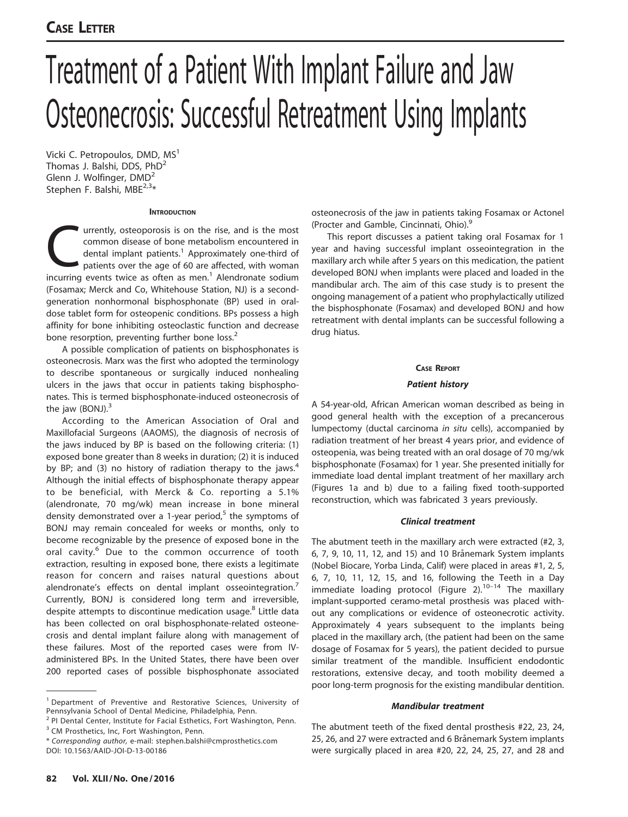# Treatment of a Patient With Implant Failure and Jaw Osteonecrosis: Successful Retreatment Using Implants

Vicki C. Petropoulos, DMD, MS<sup>1</sup> Thomas J. Balshi, DDS, PhD<sup>2</sup> Glenn J. Wolfinger, DMD<sup>2</sup> Stephen F. Balshi, MBE<sup>2,3\*</sup>

### **INTRODUCTION**

urrently, osteoporosis is on the rise, and is the most<br>common disease of bone metabolism encountered in<br>dental implant patients.<sup>1</sup> Approximately one-third of<br>patients over the age of 60 are affected, with woman<br>incurring common disease of bone metabolism encountered in dental implant patients.<sup>1</sup> Approximately one-third of patients over the age of 60 are affected, with woman incurring events twice as often as men. $<sup>1</sup>$  Alendronate sodium</sup> (Fosamax; Merck and Co, Whitehouse Station, NJ) is a secondgeneration nonhormonal bisphosphonate (BP) used in oraldose tablet form for osteopenic conditions. BPs possess a high affinity for bone inhibiting osteoclastic function and decrease bone resorption, preventing further bone loss.<sup>2</sup>

A possible complication of patients on bisphosphonates is osteonecrosis. Marx was the first who adopted the terminology to describe spontaneous or surgically induced nonhealing ulcers in the jaws that occur in patients taking bisphosphonates. This is termed bisphosphonate-induced osteonecrosis of the jaw (BONJ). $3$ 

According to the American Association of Oral and Maxillofacial Surgeons (AAOMS), the diagnosis of necrosis of the jaws induced by BP is based on the following criteria: (1) exposed bone greater than 8 weeks in duration; (2) it is induced by BP; and (3) no history of radiation therapy to the jaws.<sup>4</sup> Although the initial effects of bisphosphonate therapy appear to be beneficial, with Merck & Co. reporting a 5.1% (alendronate, 70 mg/wk) mean increase in bone mineral density demonstrated over a 1-year period,<sup>5</sup> the symptoms of BONJ may remain concealed for weeks or months, only to become recognizable by the presence of exposed bone in the oral cavity.<sup>6</sup> Due to the common occurrence of tooth extraction, resulting in exposed bone, there exists a legitimate reason for concern and raises natural questions about alendronate's effects on dental implant osseointegration.<sup>7</sup> Currently, BONJ is considered long term and irreversible, despite attempts to discontinue medication usage.<sup>8</sup> Little data has been collected on oral bisphosphonate-related osteonecrosis and dental implant failure along with management of these failures. Most of the reported cases were from IVadministered BPs. In the United States, there have been over 200 reported cases of possible bisphosphonate associated

\* Corresponding author, e-mail: stephen.balshi@cmprosthetics.com

DOI: 10.1563/AAID-JOI-D-13-00186

osteonecrosis of the jaw in patients taking Fosamax or Actonel (Procter and Gamble, Cincinnati, Ohio).9

This report discusses a patient taking oral Fosamax for 1 year and having successful implant osseointegration in the maxillary arch while after 5 years on this medication, the patient developed BONJ when implants were placed and loaded in the mandibular arch. The aim of this case study is to present the ongoing management of a patient who prophylactically utilized the bisphosphonate (Fosamax) and developed BONJ and how retreatment with dental implants can be successful following a drug hiatus.

### CASE REPORT

# Patient history

A 54-year-old, African American woman described as being in good general health with the exception of a precancerous lumpectomy (ductal carcinoma in situ cells), accompanied by radiation treatment of her breast 4 years prior, and evidence of osteopenia, was being treated with an oral dosage of 70 mg/wk bisphosphonate (Fosamax) for 1 year. She presented initially for immediate load dental implant treatment of her maxillary arch (Figures 1a and b) due to a failing fixed tooth-supported reconstruction, which was fabricated 3 years previously.

# Clinical treatment

The abutment teeth in the maxillary arch were extracted (#2, 3, 6, 7, 9, 10, 11, 12, and 15) and 10 Brånemark System implants (Nobel Biocare, Yorba Linda, Calif) were placed in areas #1, 2, 5, 6, 7, 10, 11, 12, 15, and 16, following the Teeth in a Day immediate loading protocol (Figure  $2$ ).<sup>10–14</sup> The maxillary implant-supported ceramo-metal prosthesis was placed without any complications or evidence of osteonecrotic activity. Approximately 4 years subsequent to the implants being placed in the maxillary arch, (the patient had been on the same dosage of Fosamax for 5 years), the patient decided to pursue similar treatment of the mandible. Insufficient endodontic restorations, extensive decay, and tooth mobility deemed a poor long-term prognosis for the existing mandibular dentition.

# Mandibular treatment

The abutment teeth of the fixed dental prosthesis #22, 23, 24, 25, 26, and 27 were extracted and 6 Brånemark System implants were surgically placed in area #20, 22, 24, 25, 27, and 28 and

<sup>&</sup>lt;sup>1</sup> Department of Preventive and Restorative Sciences, University of Pennsylvania School of Dental Medicine, Philadelphia, Penn.

<sup>&</sup>lt;sup>2</sup> PI Dental Center, Institute for Facial Esthetics, Fort Washington, Penn. <sup>3</sup> CM Prosthetics, Inc, Fort Washington, Penn.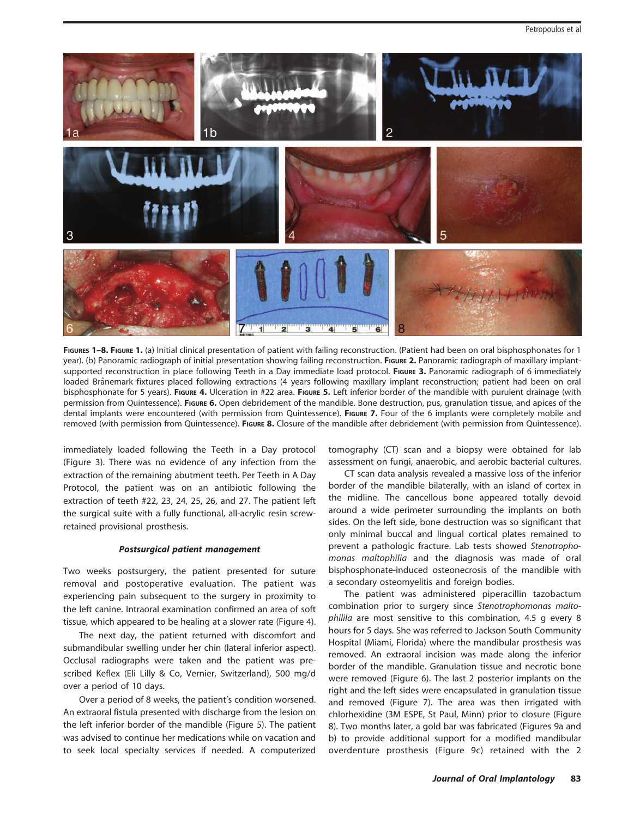

FIGURES 1-8. FIGURE 1. (a) Initial clinical presentation of patient with failing reconstruction. (Patient had been on oral bisphosphonates for 1 year). (b) Panoramic radiograph of initial presentation showing failing reconstruction. Figure 2. Panoramic radiograph of maxillary implantsupported reconstruction in place following Teeth in a Day immediate load protocol. FIGURE 3. Panoramic radiograph of 6 immediately loaded Brånemark fixtures placed following extractions (4 years following maxillary implant reconstruction; patient had been on oral bisphosphonate for 5 years). FIGURE 4. Ulceration in #22 area. FIGURE 5. Left inferior border of the mandible with purulent drainage (with permission from Quintessence). FIGURE 6. Open debridement of the mandible. Bone destruction, pus, granulation tissue, and apices of the dental implants were encountered (with permission from Quintessence). FIGURE 7. Four of the 6 implants were completely mobile and removed (with permission from Quintessence). FIGURE 8. Closure of the mandible after debridement (with permission from Quintessence).

immediately loaded following the Teeth in a Day protocol (Figure 3). There was no evidence of any infection from the extraction of the remaining abutment teeth. Per Teeth in A Day Protocol, the patient was on an antibiotic following the extraction of teeth #22, 23, 24, 25, 26, and 27. The patient left the surgical suite with a fully functional, all-acrylic resin screwretained provisional prosthesis.

# Postsurgical patient management

Two weeks postsurgery, the patient presented for suture removal and postoperative evaluation. The patient was experiencing pain subsequent to the surgery in proximity to the left canine. Intraoral examination confirmed an area of soft tissue, which appeared to be healing at a slower rate (Figure 4).

The next day, the patient returned with discomfort and submandibular swelling under her chin (lateral inferior aspect). Occlusal radiographs were taken and the patient was prescribed Keflex (Eli Lilly & Co, Vernier, Switzerland), 500 mg/d over a period of 10 days.

Over a period of 8 weeks, the patient's condition worsened. An extraoral fistula presented with discharge from the lesion on the left inferior border of the mandible (Figure 5). The patient was advised to continue her medications while on vacation and to seek local specialty services if needed. A computerized tomography (CT) scan and a biopsy were obtained for lab assessment on fungi, anaerobic, and aerobic bacterial cultures.

CT scan data analysis revealed a massive loss of the inferior border of the mandible bilaterally, with an island of cortex in the midline. The cancellous bone appeared totally devoid around a wide perimeter surrounding the implants on both sides. On the left side, bone destruction was so significant that only minimal buccal and lingual cortical plates remained to prevent a pathologic fracture. Lab tests showed Stenotrophomonas maltophilia and the diagnosis was made of oral bisphosphonate-induced osteonecrosis of the mandible with a secondary osteomyelitis and foreign bodies.

The patient was administered piperacillin tazobactum combination prior to surgery since Stenotrophomonas maltophilila are most sensitive to this combination, 4.5 g every 8 hours for 5 days. She was referred to Jackson South Community Hospital (Miami, Florida) where the mandibular prosthesis was removed. An extraoral incision was made along the inferior border of the mandible. Granulation tissue and necrotic bone were removed (Figure 6). The last 2 posterior implants on the right and the left sides were encapsulated in granulation tissue and removed (Figure 7). The area was then irrigated with chlorhexidine (3M ESPE, St Paul, Minn) prior to closure (Figure 8). Two months later, a gold bar was fabricated (Figures 9a and b) to provide additional support for a modified mandibular overdenture prosthesis (Figure 9c) retained with the 2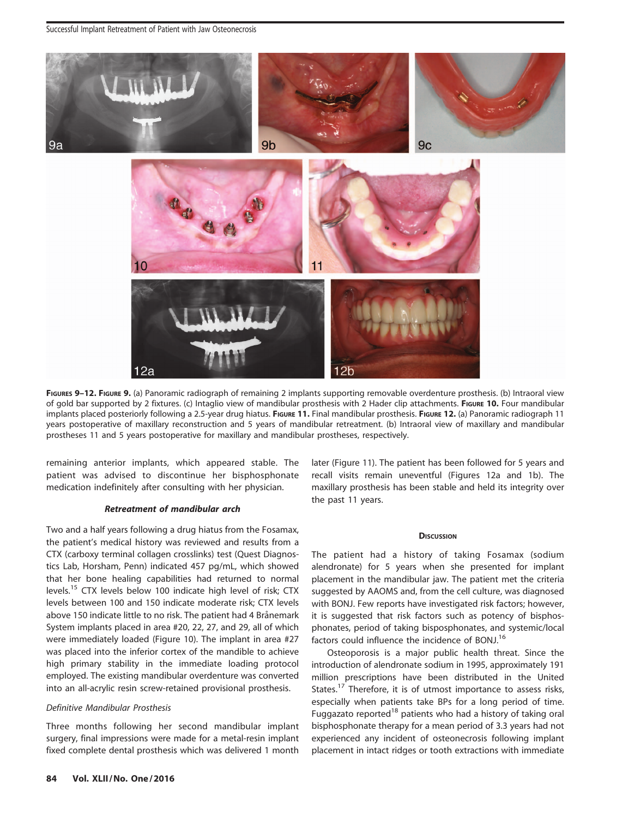Successful Implant Retreatment of Patient with Jaw Osteonecrosis



FIGURES 9-12. FIGURE 9. (a) Panoramic radiograph of remaining 2 implants supporting removable overdenture prosthesis. (b) Intraoral view of gold bar supported by 2 fixtures. (c) Intaglio view of mandibular prosthesis with 2 Hader clip attachments. FIGURE 10. Four mandibular implants placed posteriorly following a 2.5-year drug hiatus. FIGURE 11. Final mandibular prosthesis. FIGURE 12. (a) Panoramic radiograph 11 years postoperative of maxillary reconstruction and 5 years of mandibular retreatment. (b) Intraoral view of maxillary and mandibular prostheses 11 and 5 years postoperative for maxillary and mandibular prostheses, respectively.

remaining anterior implants, which appeared stable. The patient was advised to discontinue her bisphosphonate medication indefinitely after consulting with her physician.

# Retreatment of mandibular arch

Two and a half years following a drug hiatus from the Fosamax, the patient's medical history was reviewed and results from a CTX (carboxy terminal collagen crosslinks) test (Quest Diagnostics Lab, Horsham, Penn) indicated 457 pg/mL, which showed that her bone healing capabilities had returned to normal levels.<sup>15</sup> CTX levels below 100 indicate high level of risk; CTX levels between 100 and 150 indicate moderate risk; CTX levels above 150 indicate little to no risk. The patient had 4 Brånemark System implants placed in area #20, 22, 27, and 29, all of which were immediately loaded (Figure 10). The implant in area #27 was placed into the inferior cortex of the mandible to achieve high primary stability in the immediate loading protocol employed. The existing mandibular overdenture was converted into an all-acrylic resin screw-retained provisional prosthesis.

# Definitive Mandibular Prosthesis

Three months following her second mandibular implant surgery, final impressions were made for a metal-resin implant fixed complete dental prosthesis which was delivered 1 month later (Figure 11). The patient has been followed for 5 years and recall visits remain uneventful (Figures 12a and 1b). The maxillary prosthesis has been stable and held its integrity over the past 11 years.

### **DISCUSSION**

The patient had a history of taking Fosamax (sodium alendronate) for 5 years when she presented for implant placement in the mandibular jaw. The patient met the criteria suggested by AAOMS and, from the cell culture, was diagnosed with BONJ. Few reports have investigated risk factors; however, it is suggested that risk factors such as potency of bisphosphonates, period of taking bisposphonates, and systemic/local factors could influence the incidence of BONJ.<sup>16</sup>

Osteoporosis is a major public health threat. Since the introduction of alendronate sodium in 1995, approximately 191 million prescriptions have been distributed in the United States.<sup>17</sup> Therefore, it is of utmost importance to assess risks, especially when patients take BPs for a long period of time. Fuggazato reported<sup>18</sup> patients who had a history of taking oral bisphosphonate therapy for a mean period of 3.3 years had not experienced any incident of osteonecrosis following implant placement in intact ridges or tooth extractions with immediate